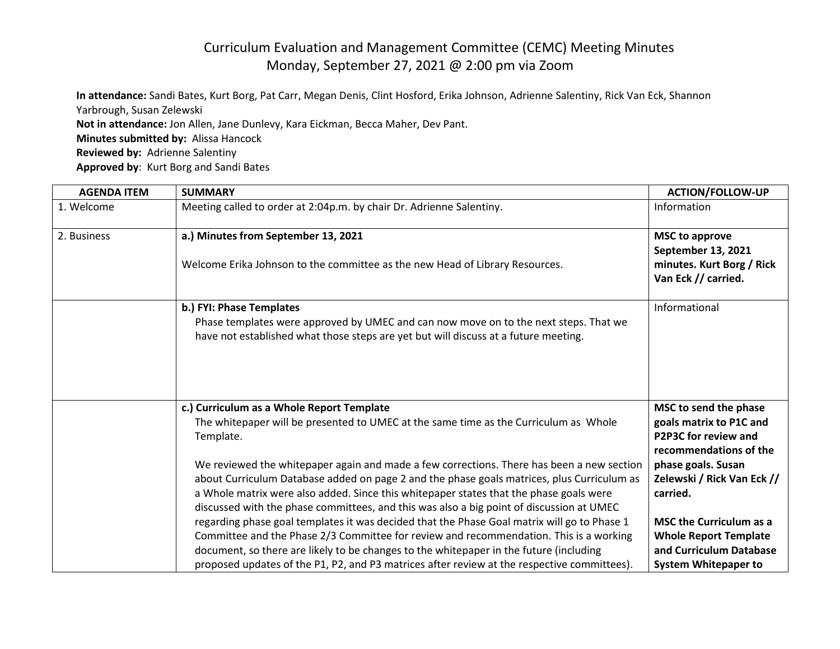## Curriculum Evaluation and Management Committee (CEMC) Meeting Minutes Monday, September 27, 2021 @ 2:00 pm via Zoom

**In attendance:** Sandi Bates, Kurt Borg, Pat Carr, Megan Denis, Clint Hosford, Erika Johnson, Adrienne Salentiny, Rick Van Eck, Shannon Yarbrough, Susan Zelewski **Not in attendance:** Jon Allen, Jane Dunlevy, Kara Eickman, Becca Maher, Dev Pant. **Minutes submitted by:** Alissa Hancock **Reviewed by:** Adrienne Salentiny

**Approved by**: Kurt Borg and Sandi Bates

| <b>AGENDA ITEM</b> | <b>SUMMARY</b>                                                                                                                                                                                                                                                                                                                                                                | <b>ACTION/FOLLOW-UP</b>                                                                            |
|--------------------|-------------------------------------------------------------------------------------------------------------------------------------------------------------------------------------------------------------------------------------------------------------------------------------------------------------------------------------------------------------------------------|----------------------------------------------------------------------------------------------------|
| 1. Welcome         | Meeting called to order at 2:04p.m. by chair Dr. Adrienne Salentiny.                                                                                                                                                                                                                                                                                                          | Information                                                                                        |
| 2. Business        | a.) Minutes from September 13, 2021                                                                                                                                                                                                                                                                                                                                           | <b>MSC to approve</b><br>September 13, 2021                                                        |
|                    | Welcome Erika Johnson to the committee as the new Head of Library Resources.                                                                                                                                                                                                                                                                                                  | minutes. Kurt Borg / Rick<br>Van Eck // carried.                                                   |
|                    | b.) FYI: Phase Templates<br>Phase templates were approved by UMEC and can now move on to the next steps. That we<br>have not established what those steps are yet but will discuss at a future meeting.                                                                                                                                                                       | Informational                                                                                      |
|                    | c.) Curriculum as a Whole Report Template<br>The whitepaper will be presented to UMEC at the same time as the Curriculum as Whole<br>Template.                                                                                                                                                                                                                                | MSC to send the phase<br>goals matrix to P1C and<br>P2P3C for review and<br>recommendations of the |
|                    | We reviewed the whitepaper again and made a few corrections. There has been a new section<br>about Curriculum Database added on page 2 and the phase goals matrices, plus Curriculum as<br>a Whole matrix were also added. Since this whitepaper states that the phase goals were<br>discussed with the phase committees, and this was also a big point of discussion at UMEC | phase goals. Susan<br>Zelewski / Rick Van Eck //<br>carried.                                       |
|                    | regarding phase goal templates it was decided that the Phase Goal matrix will go to Phase 1<br>Committee and the Phase 2/3 Committee for review and recommendation. This is a working<br>document, so there are likely to be changes to the whitepaper in the future (including                                                                                               | <b>MSC the Curriculum as a</b><br><b>Whole Report Template</b><br>and Curriculum Database          |
|                    | proposed updates of the P1, P2, and P3 matrices after review at the respective committees).                                                                                                                                                                                                                                                                                   | <b>System Whitepaper to</b>                                                                        |